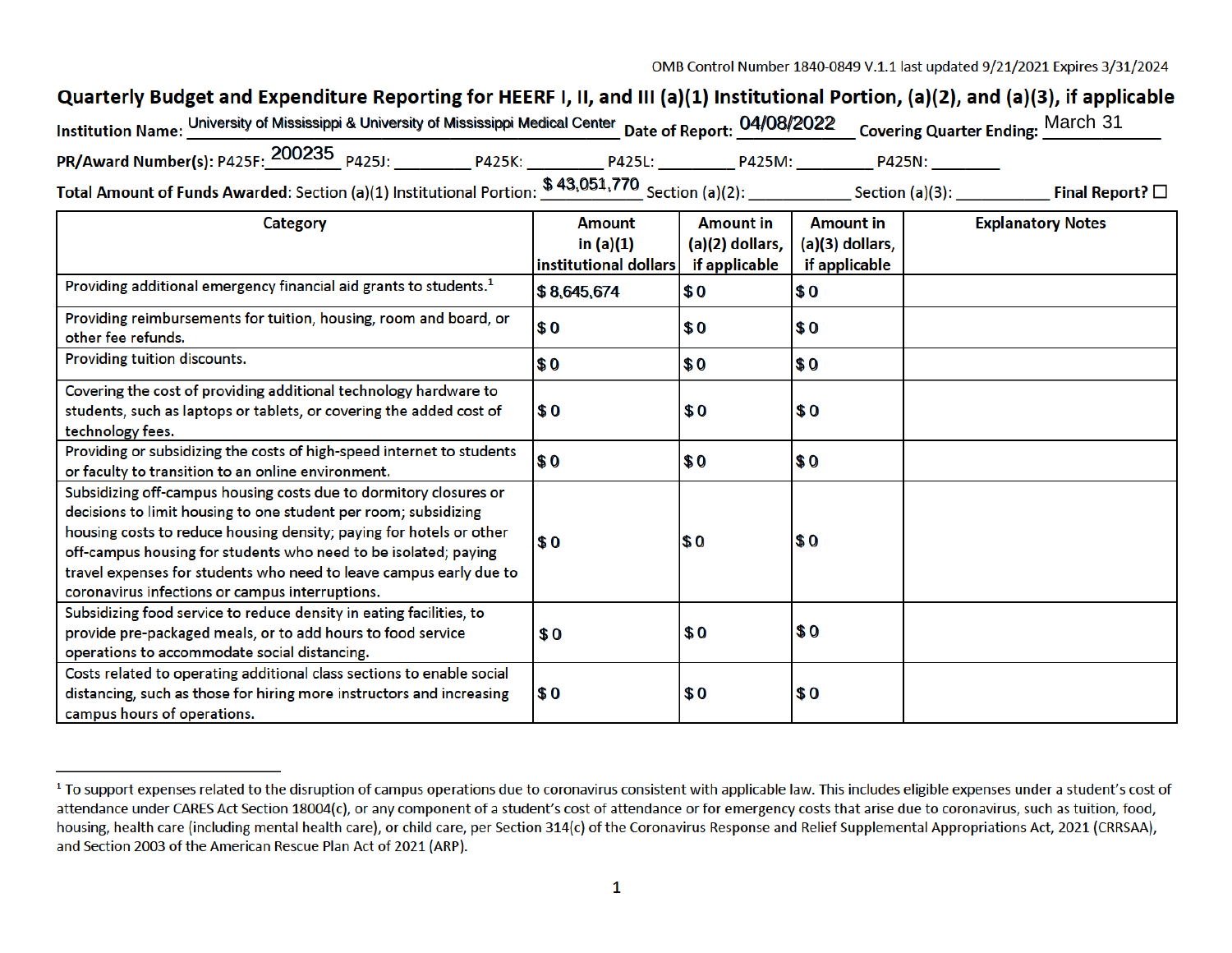OMB Control Number 1840-0849 V.1.1 last updated 9/21/2021 Expires 3/31/2024

## Quarterly Budget and Expenditure Reporting for HEERF I, II, and III (a)(1) Institutional Portion, (a)(2), and (a)(3), if applicable

| Institution Name: University of Mississippi & University of Mississippi Medical Center Date of Report: 04/08/2022 Covering Quarter Ending: March 31 |        |  |        |        |  |  |  |  |
|-----------------------------------------------------------------------------------------------------------------------------------------------------|--------|--|--------|--------|--|--|--|--|
| PR/Award Number(s): P425F: 200235 P425J:                                                                                                            | P425K: |  | P425M: | P425N: |  |  |  |  |
| <b>C 12 051 770</b>                                                                                                                                 |        |  |        |        |  |  |  |  |

Total Amount of Funds Awarded: Section (a)(1) Institutional Portion: \$ 43,051,770 \$ 43,051,770

| <b>Category</b>                                                                                                                                                                                                                                                                                                                                                                                         | <b>Amount</b>         | <b>Amount in</b> | <b>Amount in</b> | <b>Explanatory Notes</b> |
|---------------------------------------------------------------------------------------------------------------------------------------------------------------------------------------------------------------------------------------------------------------------------------------------------------------------------------------------------------------------------------------------------------|-----------------------|------------------|------------------|--------------------------|
|                                                                                                                                                                                                                                                                                                                                                                                                         | in $(a)(1)$           | (a)(2) dollars,  | (a)(3) dollars,  |                          |
|                                                                                                                                                                                                                                                                                                                                                                                                         | institutional dollars | if applicable    | if applicable    |                          |
| Providing additional emergency financial aid grants to students. <sup>1</sup>                                                                                                                                                                                                                                                                                                                           | \$8,645,674           | \$0              | \$0              |                          |
| Providing reimbursements for tuition, housing, room and board, or<br>other fee refunds.                                                                                                                                                                                                                                                                                                                 | \$ 0                  | \$0              | \$0              |                          |
| Providing tuition discounts.                                                                                                                                                                                                                                                                                                                                                                            | \$0                   | \$0              | \$0              |                          |
| Covering the cost of providing additional technology hardware to<br>students, such as laptops or tablets, or covering the added cost of<br>technology fees.                                                                                                                                                                                                                                             | \$O                   | \$0              | \$0              |                          |
| Providing or subsidizing the costs of high-speed internet to students<br>or faculty to transition to an online environment.                                                                                                                                                                                                                                                                             | l\$ 0                 | \$0              | \$0              |                          |
| Subsidizing off-campus housing costs due to dormitory closures or<br>decisions to limit housing to one student per room; subsidizing<br>housing costs to reduce housing density; paying for hotels or other<br>off-campus housing for students who need to be isolated; paying<br>travel expenses for students who need to leave campus early due to<br>coronavirus infections or campus interruptions. | $\sqrt{3}0$           | $\sqrt{3}0$      | \$0              |                          |
| Subsidizing food service to reduce density in eating facilities, to<br>provide pre-packaged meals, or to add hours to food service<br>operations to accommodate social distancing.                                                                                                                                                                                                                      | \$0                   | \$0              | \$0              |                          |
| Costs related to operating additional class sections to enable social<br>distancing, such as those for hiring more instructors and increasing<br>campus hours of operations.                                                                                                                                                                                                                            | $\sqrt{3}0$           | \$0              | \$0              |                          |

<sup>&</sup>lt;sup>1</sup> To support expenses related to the disruption of campus operations due to coronavirus consistent with applicable law. This includes eligible expenses under a student's cost of attendance under CARES Act Section 18004(c), or any component of a student's cost of attendance or for emergency costs that arise due to coronavirus, such as tuition, food, housing, health care (including mental health care), or child care, per Section 314(c) of the Coronavirus Response and Relief Supplemental Appropriations Act, 2021 (CRRSAA), and Section 2003 of the American Rescue Plan Act of 2021 (ARP).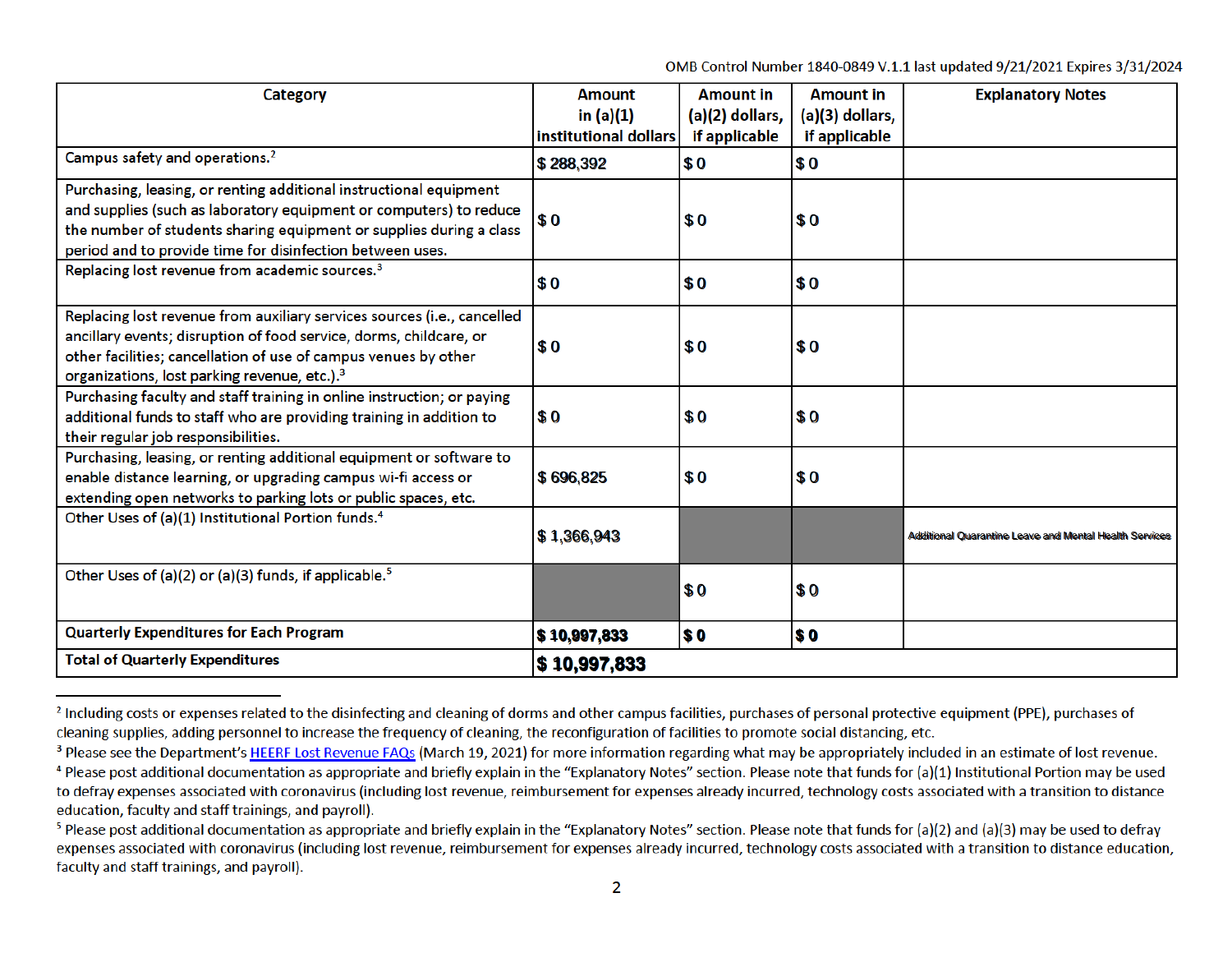OMB Control Number 1840-0849 V.1.1 last updated 9/21/2021 Expires 3/31/2024

| <b>Category</b>                                                                                                                                                                                                                                                              | <b>Amount</b><br>in $(a)(1)$<br>institutional dollars | <b>Amount in</b><br>(a)(2) dollars,<br>if applicable | <b>Amount in</b><br>(a)(3) dollars,<br>if applicable | <b>Explanatory Notes</b>                                      |
|------------------------------------------------------------------------------------------------------------------------------------------------------------------------------------------------------------------------------------------------------------------------------|-------------------------------------------------------|------------------------------------------------------|------------------------------------------------------|---------------------------------------------------------------|
| Campus safety and operations. <sup>2</sup>                                                                                                                                                                                                                                   | \$288,392                                             | \$0                                                  | \$0                                                  |                                                               |
| Purchasing, leasing, or renting additional instructional equipment<br>and supplies (such as laboratory equipment or computers) to reduce<br>the number of students sharing equipment or supplies during a class<br>period and to provide time for disinfection between uses. | \$0                                                   | \$0                                                  | \$0                                                  |                                                               |
| Replacing lost revenue from academic sources. <sup>3</sup>                                                                                                                                                                                                                   | \$0                                                   | \$0                                                  | \$0                                                  |                                                               |
| Replacing lost revenue from auxiliary services sources (i.e., cancelled<br>ancillary events; disruption of food service, dorms, childcare, or<br>other facilities; cancellation of use of campus venues by other<br>organizations, lost parking revenue, etc.). <sup>3</sup> | \$0                                                   | \$0                                                  | \$0                                                  |                                                               |
| Purchasing faculty and staff training in online instruction; or paying<br>additional funds to staff who are providing training in addition to<br>their regular job responsibilities.                                                                                         | \$0                                                   | \$0                                                  | \$0                                                  |                                                               |
| Purchasing, leasing, or renting additional equipment or software to<br>enable distance learning, or upgrading campus wi-fi access or<br>extending open networks to parking lots or public spaces, etc.                                                                       | \$696,825                                             | \$0                                                  | \$0                                                  |                                                               |
| Other Uses of (a)(1) Institutional Portion funds. <sup>4</sup>                                                                                                                                                                                                               | \$1,366,943                                           |                                                      |                                                      | <b>Additional Quarantine Leave and Mental Health Services</b> |
| Other Uses of (a)(2) or (a)(3) funds, if applicable. <sup>5</sup>                                                                                                                                                                                                            |                                                       | \$0                                                  | \$0                                                  |                                                               |
| <b>Quarterly Expenditures for Each Program</b>                                                                                                                                                                                                                               | $\frac{1}{2}$ 10,997,833                              | <b>SO</b>                                            | \$0                                                  |                                                               |
| <b>Total of Quarterly Expenditures</b>                                                                                                                                                                                                                                       | \$10,997,833                                          |                                                      |                                                      |                                                               |

<sup>&</sup>lt;sup>2</sup> Including costs or expenses related to the disinfecting and cleaning of dorms and other campus facilities, purchases of personal protective equipment (PPE), purchases of cleaning supplies, adding personnel to increase the frequency of cleaning, the reconfiguration of facilities to promote social distancing, etc.

<sup>&</sup>lt;sup>3</sup> Please see the Department's HEERF Lost Revenue FAQs (March 19, 2021) for more information regarding what may be appropriately included in an estimate of lost revenue.

<sup>&</sup>lt;sup>4</sup> Please post additional documentation as appropriate and briefly explain in the "Explanatory Notes" section. Please note that funds for (a)(1) Institutional Portion may be used to defray expenses associated with coronavirus (including lost revenue, reimbursement for expenses already incurred, technology costs associated with a transition to distance education, faculty and staff trainings, and payroll).

<sup>&</sup>lt;sup>5</sup> Please post additional documentation as appropriate and briefly explain in the "Explanatory Notes" section. Please note that funds for (a)(2) and (a)(3) may be used to defray expenses associated with coronavirus (including lost revenue, reimbursement for expenses already incurred, technology costs associated with a transition to distance education, faculty and staff trainings, and payroll).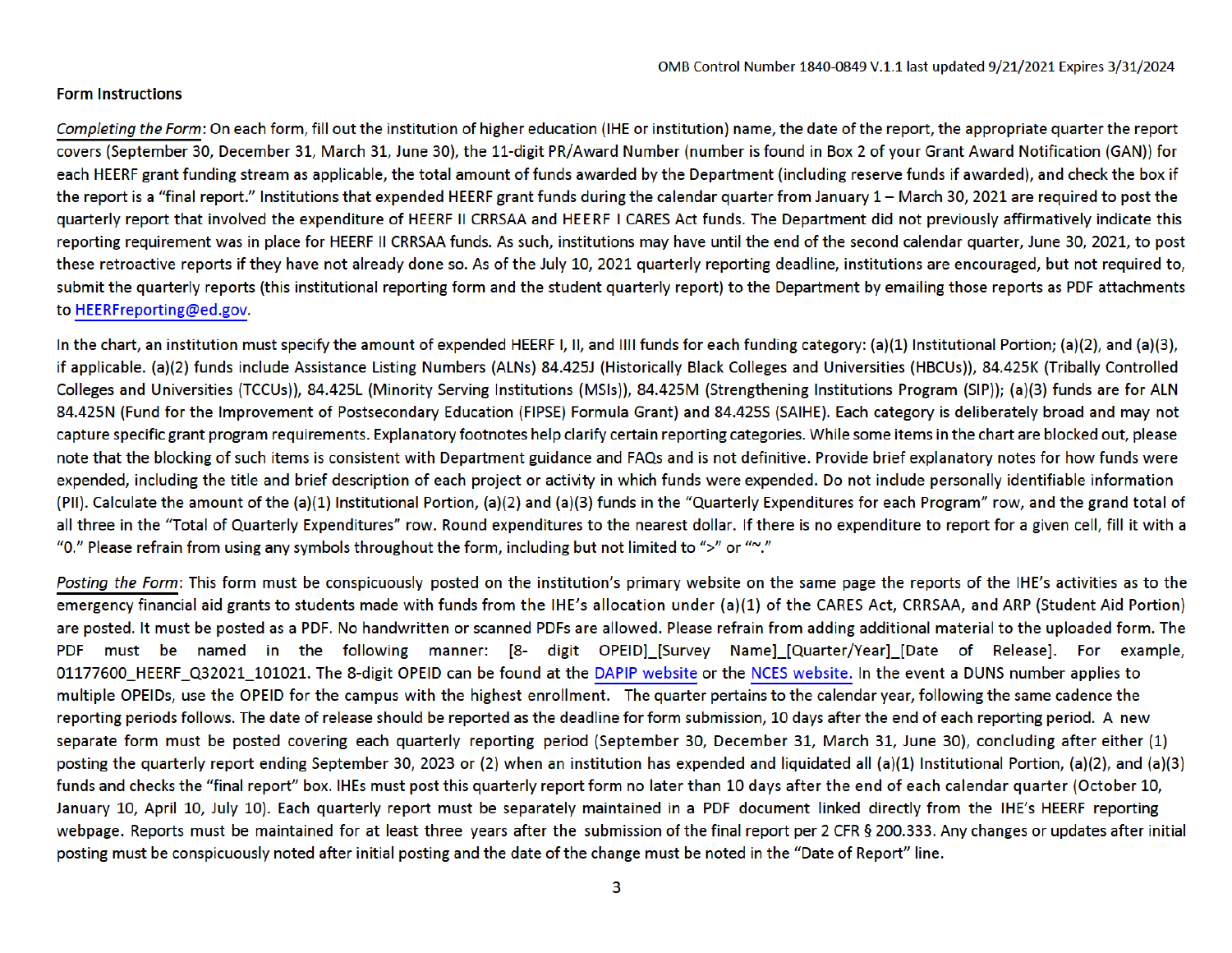## Form Instructions

Completing the Form: On each form, fill out the institution of higher education (IHE or institution) name, the date of the report, the appropriate quarter the report covers (September 30, December 31, March 31, June 30), the 11-digit PR/Award Number (number is found in Box 2 of your Grant Award Notification (GAN)) for each HEERF grant funding stream as applicable, the total amount of funds awarded by the Department (including reserve funds if awarded), and check the box if grant funds during the calendar quarter from January 1. March 30, 2021 are required to post the grand to post the expenditure of HEERF III CRRSAA and HEERF III CRRSAA and HEERF III CRRSAA and HEERF III CRRSAA and HEERF III the report is a "marreport." Institutions that expended ricent grant runds during the calendar quarter from sandary  $\pm$  "March 50, 2021 are required to post quarterly report that involved the expenditure of HEERF II CRRSAA and HEERF I CARES Act funds. The Department did not previously affirmatively indicate this reporting requirement was in place for HEERF II CRRSAA funds. As such, institutions may have until the end of the second calendar quarter, June 30, 2021, to post these retroactive reports if they have not already done so. As of the July 10, 2021 quarterly reporting deadline, institutions are encouraged, but not required to, submit the quarterly reports (this institutional reporting form and the student quarterly report) to the Department by emailing those reports as PDF attachments to HEERFreporting@ed.gov.

In the chart, an institution must specify the amount of expended HEERF I, II, and IIII funds for each funding category: (a)(1) Institutional Portion; (a)(2), and (a)(3), if applicable. (a)(2) funds include Assistance Listing Numbers (ALNs) 84.425J (Historically Black Colleges and Universities (HBCUs)), 84.425K (Tribally Controlled Colleges and Universities (TCCUs)), 84.425L (Minority Serving Institutions (MSIs)), 84.425M (Strengthening Institutions Program (SIP)); (a)(3) funds are for ALN (FIPSE) Formula Grant) and 84.4255 (SAIHE). Each category is deliberately broad and may not capture specific grant program requirements. Explanatory footnotes help clarify certain reproduced out of the employment of restriction and please items in the blocked of such are blocked on the blocked out of such and interview in the blocked of such and FAQs and interview and interview of the blocke capture specific grant program requirements. Explanatory footnotes help clarify certain reporting categories. While some items in the chart are blocked out, please note that the blocking of such items is consistent with Department guidance and FAQs and is not definitive. Provide brief explanatory notes for how funds were expended, including the title and brief description of each project or activity in which funds were expended. Do not include personally identifiable information  $(PII)$ . Calculate the amount of the  $(a)(1)$  Institutional Portion,  $(a)(2)$  and  $(a)(3)$  funds in the "Quarterly Expenditures for each Program" row, and the grand total of all three in the "Total of Quarterly Expenditures" row. Round expenditures to the nearest dollar. If there is no expenditure to report for a given cell, fill it with a "0." Please refrain from using any symbols throughout the form, including but not limited to ">" or "~".

Posting the Form: This form must be conspicuously posted on the institution's primary website on the same page the reports of the IHE's activities as to the emergency financial aid grants to students made with funds from the IHE's allocation under (a)(1) of the CARES Act, CRRSAA, and ARP (Student Aid Portion) are posted. It must be posted as a PDF. No handwritten or scanned PDFs are allowed. Please refrain from adding additional material to the uploaded form. The Name possession of Posses as a Forme management of Seamles in Date on Party is example, and at the Release website or the Apie at the Sea I DI Thust be hanned in the following manner. [o- uight OFEID] jou'vey reame] (Quarter/Tear) joute or release]. The examp 01177600 HEERF Q32021 101021. The 8-digit OPEID can be found at the DAPIP website or the NCES website. In the event a DUNS number applies to multiple OPEIDs, use the OPEID for the campus with the highest enrollment. The quarter pertains to the calendar year, following the same cadence the reporting periods follows. The date of release should be reported as the deadline for form submission, 10 days after the end of each reporting period. A new separate form must be posted covering each quarterly reporting period (September 30, December 31, March 31, June 30), concluding after either (1) posting the quarterly report ending September 30, 2023 or (2) when an institution has expended and liquidated all (a)(1) Institutional Portion, (a)(2), and (a)(3) funds and checks the "final report" box. IHEs must post this quarterly report form no later than 10 days after the end of each calendar quarter (October 10, January 10, April 10, July 10). Each quarterly report must be separately maintained in a PDF document linked directly from the IHE's HEERF reporting webpage. Reports must be maintained for at least three years after the submission of the final report per 2 CFR § 200.333. Any changes or updates after initial posting must be conspicuously noted after initial posting and the date of the change must be noted in the "Date of Report" line.